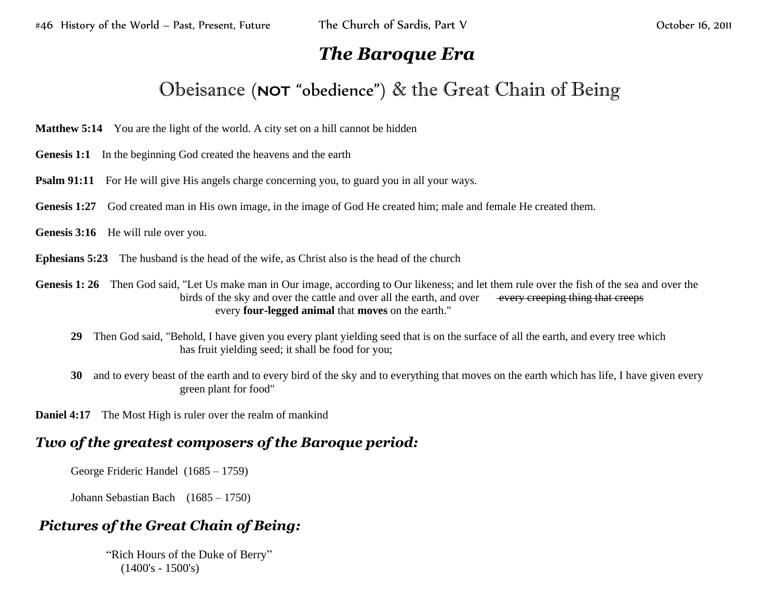## *The Baroque Era*

## Obeisance (**NOT** "obedience") & the Great Chain of Being

- **Matthew 5:14** You are the light of the world. A city set on a hill cannot be hidden
- **Genesis 1:1** In the beginning God created the heavens and the earth
- **Psalm 91:11** For He will give His angels charge concerning you, to guard you in all your ways.
- Genesis 1:27 God created man in His own image, in the image of God He created him; male and female He created them.
- Genesis 3:16 He will rule over you.
- **Ephesians 5:23** The husband is the head of the wife, as Christ also is the head of the church
- **Genesis 1: 26** Then God said, "Let Us make man in Our image, according to Our likeness; and let them rule over the fish of the sea and over the birds of the sky and over the cattle and over all the earth, and over every creeping thing that creeps every **four-legged animal** that **moves** on the earth."
	- **29** Then God said, "Behold, I have given you every plant yielding seed that is on the surface of all the earth, and every tree which has fruit yielding seed; it shall be food for you;
	- **30** and to every beast of the earth and to every bird of the sky and to everything that moves on the earth which has life, I have given every green plant for food"
- **Daniel 4:17** The Most High is ruler over the realm of mankind

## *Two of the greatest composers of the Baroque period:*

George Frideric Handel (1685 – 1759)

Johann Sebastian Bach (1685 – 1750)

## *Pictures of the Great Chain of Being:*

"Rich Hours of the Duke of Berry" (1400's - 1500's)